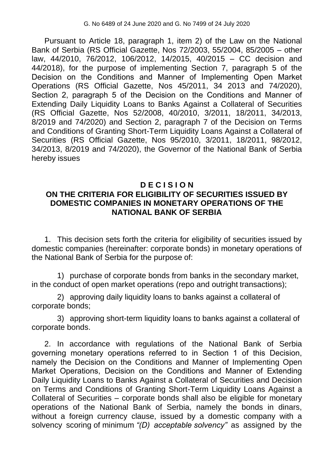Pursuant to Article 18, paragraph 1, item 2) of the Law on the National Bank of Serbia (RS Official Gazette, Nos 72/2003, 55/2004, 85/2005 – other law, 44/2010, 76/2012, 106/2012, 14/2015, 40/2015 – CC decision and 44/2018), for the purpose of implementing Section 7, paragraph 5 of the Decision оn the Conditions and Manner of Implementing Open Market Operations (RS Official Gazette, Nos 45/2011, 34 2013 and 74/2020), Section 2, paragraph 5 of the Decision on the Conditions and Manner of Extending Daily Liquidity Loans to Banks Against a Collateral of Securities (RS Official Gazette, Nos 52/2008, 40/2010, 3/2011, 18/2011, 34/2013, 8/2019 and 74/2020) and Section 2, paragraph 7 of the Decision on Terms and Conditions of Granting Short-Term Liquidity Loans Against a Collateral of Securities (RS Official Gazette, Nos 95/2010, 3/2011, 18/2011, 98/2012, 34/2013, 8/2019 and 74/2020), the Governor of the National Bank of Serbia hereby issues

## **D E C I S I O N ON THE CRITERIA FOR ELIGIBILITY OF SECURITIES ISSUED BY DOMESTIC COMPANIES IN MONETARY OPERATIONS OF THE NATIONAL BANK OF SERBIA**

1. This decision sets forth the criteria for eligibility of securities issued by domestic companies (hereinafter: corporate bonds) in monetary operations of the National Bank of Serbia for the purpose of:

1) purchase of corporate bonds from banks in the secondary market, in the conduct of open market operations (repo and outright transactions);

2) approving daily liquidity loans to banks against a collateral of corporate bonds;

3) approving short-term liquidity loans to banks against a collateral of corporate bonds.

2. In accordance with regulations of the National Bank of Serbia governing monetary operations referred to in Section 1 оf this Decision, namely the Decision оn the Conditions and Manner of Implementing Open Market Operations, Decision оn the Conditions and Manner of Extending Daily Liquidity Loans to Banks Against a Collateral of Securities and Decision on Terms and Conditions of Granting Short-Term Liquidity Loans Against a Collateral of Securities – corporate bonds shall also be eligible for monetary operations of the National Bank of Serbia, namely the bonds in dinars, without a foreign currency clause, issued by a domestic company with a solvency scoring of minimum *"(D) acceptable solvency"* as assigned by the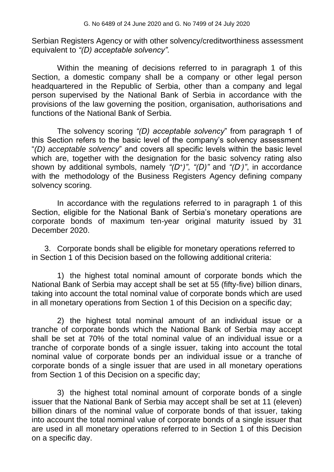Serbian Registers Agency or with other solvency/creditworthiness assessment equivalent to *"(D) acceptable solvency".*

Within the meaning of decisions referred to in paragraph 1 of this Section, a domestic company shall be a company or other legal person headquartered in the Republic of Serbia, other than a company and legal person supervised by the National Bank of Serbia in accordance with the provisions of the law governing the position, organisation, authorisations and functions of the National Bank of Serbia.

The solvency scoring *"(D) acceptable solvency*" from paragraph 1 of this Section refers to the basic level of the company's solvency assessment "*(D) acceptable solvency*" and covers all specific levels within the basic level which are, together with the designation for the basic solvency rating also shown by additional symbols, namely *"(D<sup>+</sup> )"*, *"(D)"* and *"(D- )"*, in accordance with the methodology of the Business Registers Agency defining company solvency scoring.

In accordance with the regulations referred to in paragraph 1 of this Section, eligible for the National Bank of Serbia's monetary operations are corporate bonds of maximum ten-year original maturity issued by 31 December 2020.

3. Corporate bonds shall be eligible for monetary operations referred to in Section 1 of this Decision based on the following additional criteria:

1) the highest total nominal amount of corporate bonds which the National Bank of Serbia may accept shall be set at 55 (fifty-five) billion dinars, taking into account the total nominal value of corporate bonds which are used in all monetary operations from Section 1 of this Decision on a specific day;

2) the highest total nominal amount of an individual issue or a tranche of corporate bonds which the National Bank of Serbia may accept shall be set at 70% of the total nominal value of an individual issue or a tranche of corporate bonds of a single issuer, taking into account the total nominal value of corporate bonds per an individual issue or a tranche of corporate bonds of a single issuer that are used in all monetary operations from Section 1 of this Decision on a specific day;

3) the highest total nominal amount of corporate bonds of a single issuer that the National Bank of Serbia may accept shall be set at 11 (eleven) billion dinars of the nominal value of corporate bonds of that issuer, taking into account the total nominal value of corporate bonds of a single issuer that are used in all monetary operations referred to in Section 1 of this Decision on a specific day.